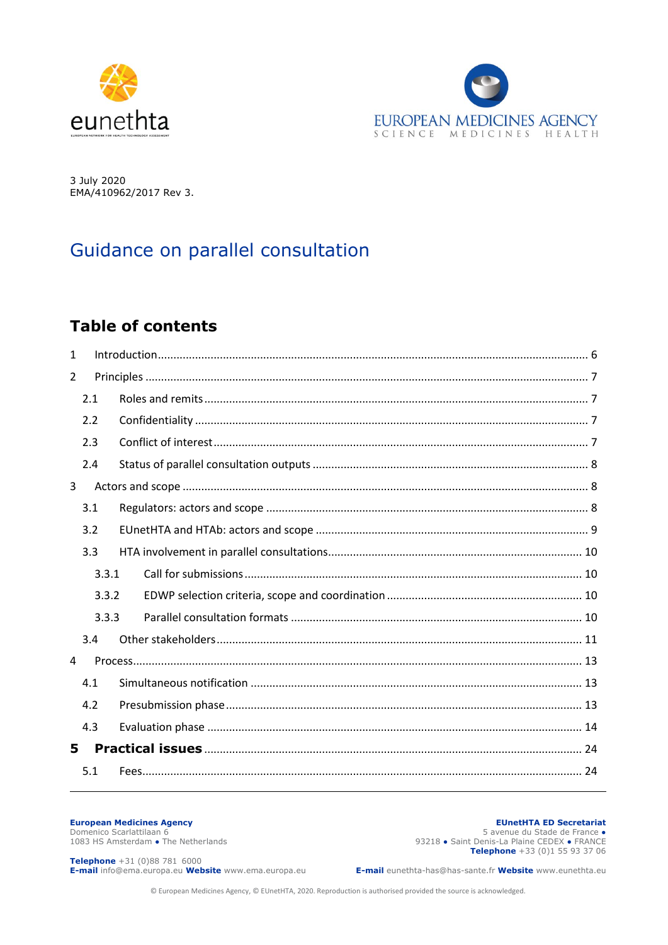



3 July 2020 EMA/410962/2017 Rev 3.

# Guidance on parallel consultation

## **Table of contents**

| $\mathbf{1}$   |       |  |  |  |  |
|----------------|-------|--|--|--|--|
| $\overline{2}$ |       |  |  |  |  |
|                | 2.1   |  |  |  |  |
|                | 2.2   |  |  |  |  |
|                | 2.3   |  |  |  |  |
|                | 2.4   |  |  |  |  |
| 3              |       |  |  |  |  |
|                | 3.1   |  |  |  |  |
|                | 3.2   |  |  |  |  |
|                | 3.3   |  |  |  |  |
|                | 3.3.1 |  |  |  |  |
|                | 3.3.2 |  |  |  |  |
|                | 3.3.3 |  |  |  |  |
|                | 3.4   |  |  |  |  |
| 4              |       |  |  |  |  |
|                | 4.1   |  |  |  |  |
|                | 4.2   |  |  |  |  |
|                | 4.3   |  |  |  |  |
| 5.             |       |  |  |  |  |
|                | 5.1   |  |  |  |  |
|                |       |  |  |  |  |

#### **European Medicines Agency**

Domenico Scarlattilaan 6 1083 HS Amsterdam • The Netherlands

**EUnetHTA ED Secretariat** 5 avenue du Stade de France. 93218 • Saint Denis-La Plaine CEDEX • FRANCE Telephone +33 (0)1 55 93 37 06

**Telephone** +31 (0)88 781 6000 E-mail info@ema.europa.eu Website www.ema.europa.eu

E-mail eunethta-has@has-sante.fr Website www.eunethta.eu

© European Medicines Agency, © EUnetHTA, 2020. Reproduction is authorised provided the source is acknowledged.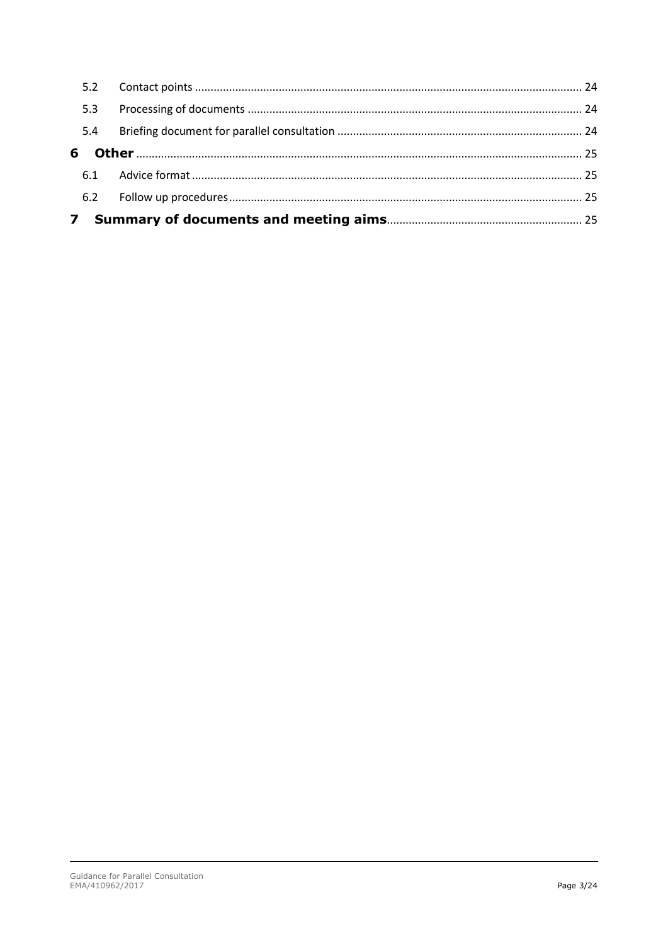| 5.2 |  |
|-----|--|
| 5.3 |  |
| 5.4 |  |
| 6   |  |
|     |  |
|     |  |
|     |  |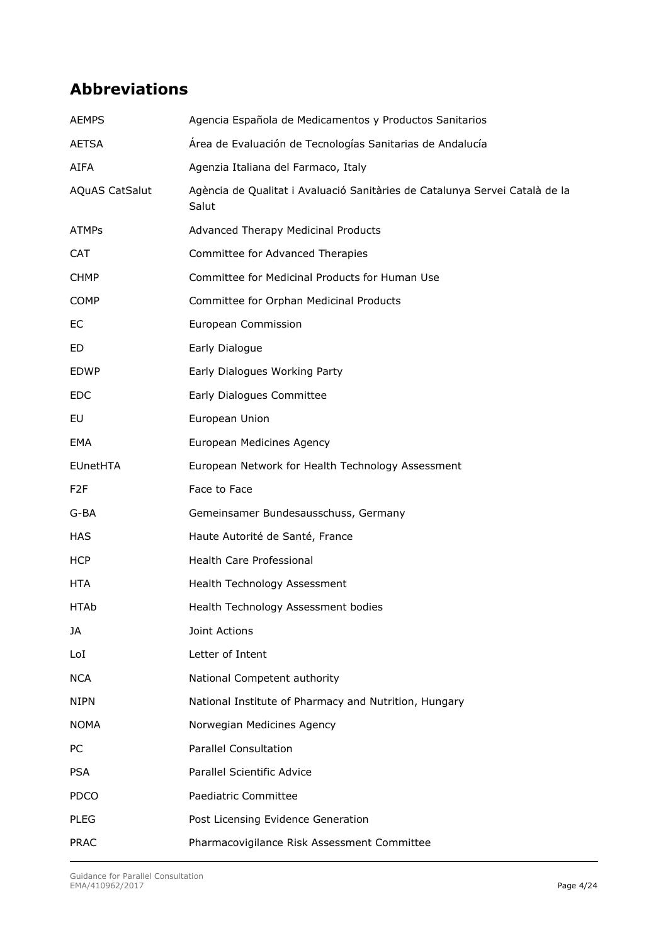## **Abbreviations**

| <b>AEMPS</b>          | Agencia Española de Medicamentos y Productos Sanitarios                              |
|-----------------------|--------------------------------------------------------------------------------------|
| <b>AETSA</b>          | Área de Evaluación de Tecnologías Sanitarias de Andalucía                            |
| <b>AIFA</b>           | Agenzia Italiana del Farmaco, Italy                                                  |
| <b>AQuAS CatSalut</b> | Agència de Qualitat i Avaluació Sanitàries de Catalunya Servei Català de la<br>Salut |
| <b>ATMPs</b>          | Advanced Therapy Medicinal Products                                                  |
| <b>CAT</b>            | Committee for Advanced Therapies                                                     |
| <b>CHMP</b>           | Committee for Medicinal Products for Human Use                                       |
| <b>COMP</b>           | Committee for Orphan Medicinal Products                                              |
| EC                    | European Commission                                                                  |
| ED                    | Early Dialogue                                                                       |
| <b>EDWP</b>           | Early Dialogues Working Party                                                        |
| <b>EDC</b>            | Early Dialogues Committee                                                            |
| EU                    | European Union                                                                       |
| EMA                   | European Medicines Agency                                                            |
| <b>EUnetHTA</b>       | European Network for Health Technology Assessment                                    |
| F <sub>2</sub> F      | Face to Face                                                                         |
| G-BA                  | Gemeinsamer Bundesausschuss, Germany                                                 |
| <b>HAS</b>            | Haute Autorité de Santé, France                                                      |
| <b>HCP</b>            | <b>Health Care Professional</b>                                                      |
| HTA                   | Health Technology Assessment                                                         |
| <b>HTAb</b>           | Health Technology Assessment bodies                                                  |
| JA                    | Joint Actions                                                                        |
| LoI                   | Letter of Intent                                                                     |
| <b>NCA</b>            | National Competent authority                                                         |
| <b>NIPN</b>           | National Institute of Pharmacy and Nutrition, Hungary                                |
| <b>NOMA</b>           | Norwegian Medicines Agency                                                           |
| PC                    | <b>Parallel Consultation</b>                                                         |
| <b>PSA</b>            | Parallel Scientific Advice                                                           |
| <b>PDCO</b>           | Paediatric Committee                                                                 |
| <b>PLEG</b>           | Post Licensing Evidence Generation                                                   |
| <b>PRAC</b>           | Pharmacovigilance Risk Assessment Committee                                          |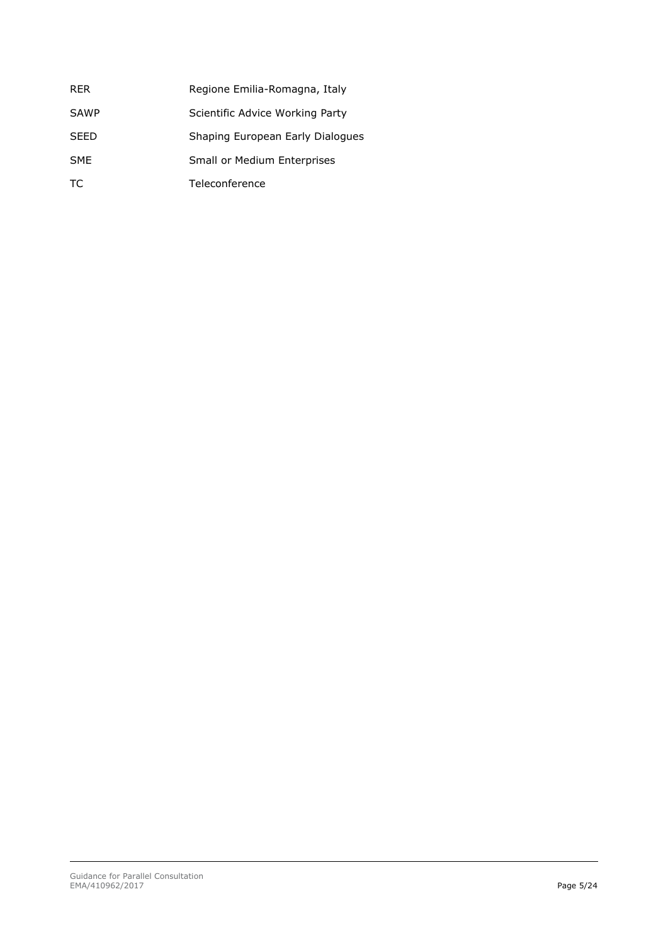| <b>RER</b>  | Regione Emilia-Romagna, Italy    |
|-------------|----------------------------------|
| <b>SAWP</b> | Scientific Advice Working Party  |
| <b>SFFD</b> | Shaping European Early Dialogues |
| <b>SME</b>  | Small or Medium Enterprises      |
| TC.         | Teleconference                   |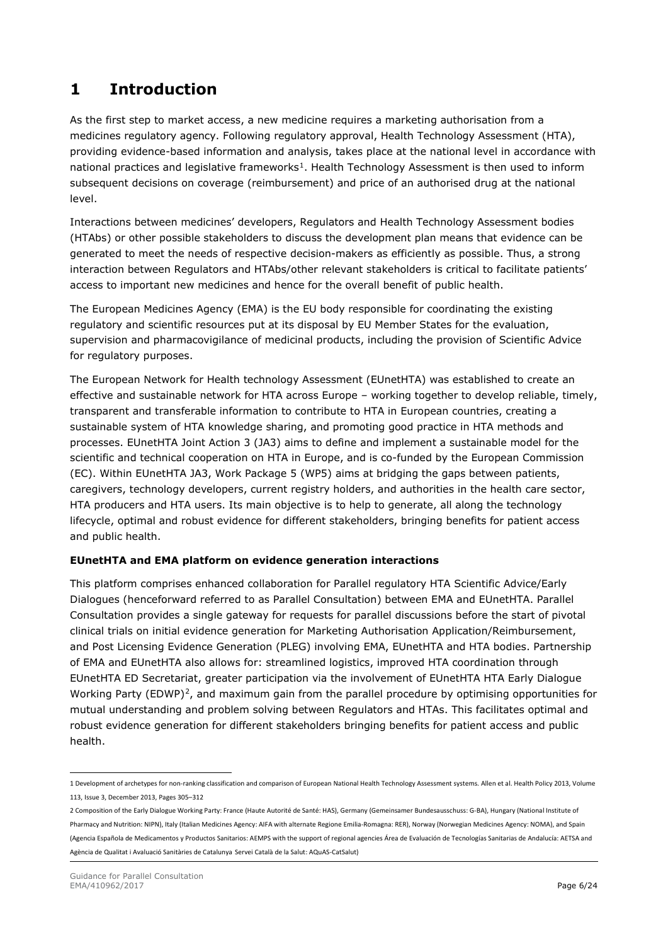## <span id="page-4-0"></span>**1 Introduction**

As the first step to market access, a new medicine requires a marketing authorisation from a medicines regulatory agency. Following regulatory approval, Health Technology Assessment (HTA), providing evidence-based information and analysis, takes place at the national level in accordance with national practices and legislative frameworks<sup>1</sup>. Health Technology Assessment is then used to inform subsequent decisions on coverage (reimbursement) and price of an authorised drug at the national level.

Interactions between medicines' developers, Regulators and Health Technology Assessment bodies (HTAbs) or other possible stakeholders to discuss the development plan means that evidence can be generated to meet the needs of respective decision-makers as efficiently as possible. Thus, a strong interaction between Regulators and HTAbs/other relevant stakeholders is critical to facilitate patients' access to important new medicines and hence for the overall benefit of public health.

The European Medicines Agency (EMA) is the EU body responsible for coordinating the existing regulatory and scientific resources put at its disposal by EU Member States for the evaluation, supervision and pharmacovigilance of medicinal products, including the provision of Scientific Advice for regulatory purposes.

The European Network for Health technology Assessment (EUnetHTA) was established to create an effective and sustainable network for HTA across Europe – working together to develop reliable, timely, transparent and transferable information to contribute to HTA in European countries, creating a sustainable system of HTA knowledge sharing, and promoting good practice in HTA methods and processes. EUnetHTA Joint Action 3 (JA3) aims to define and implement a sustainable model for the scientific and technical cooperation on HTA in Europe, and is co-funded by the European Commission (EC). Within EUnetHTA JA3, Work Package 5 (WP5) aims at bridging the gaps between patients, caregivers, technology developers, current registry holders, and authorities in the health care sector, HTA producers and HTA users. Its main objective is to help to generate, all along the technology lifecycle, optimal and robust evidence for different stakeholders, bringing benefits for patient access and public health.

#### **EUnetHTA and EMA platform on evidence generation interactions**

This platform comprises enhanced collaboration for Parallel regulatory HTA Scientific Advice/Early Dialogues (henceforward referred to as Parallel Consultation) between EMA and EUnetHTA. Parallel Consultation provides a single gateway for requests for parallel discussions before the start of pivotal clinical trials on initial evidence generation for Marketing Authorisation Application/Reimbursement, and Post Licensing Evidence Generation (PLEG) involving EMA, EUnetHTA and HTA bodies. Partnership of EMA and EUnetHTA also allows for: streamlined logistics, improved HTA coordination through EUnetHTA ED Secretariat, greater participation via the involvement of EUnetHTA HTA Early Dialogue Working Party (EDWP)<sup>[2](#page-4-2)</sup>, and maximum gain from the parallel procedure by optimising opportunities for mutual understanding and problem solving between Regulators and HTAs. This facilitates optimal and robust evidence generation for different stakeholders bringing benefits for patient access and public health.

<span id="page-4-1"></span><sup>1</sup> Development of archetypes for non-ranking classification and comparison of European National Health Technology Assessment systems. Allen et al. Health Policy 2013, Volume 113, Issue 3, December 2013, Pages 305–312

<span id="page-4-2"></span><sup>2</sup> Composition of the Early Dialogue Working Party: France (Haute Autorité de Santé: HAS), Germany (Gemeinsamer Bundesausschuss: G-BA), Hungary (National Institute of Pharmacy and Nutrition: NIPN), Italy (Italian Medicines Agency: AIFA with alternate Regione Emilia-Romagna: RER), Norway (Norwegian Medicines Agency: NOMA), and Spain (Agencia Española de Medicamentos y Productos Sanitarios: AEMPS with the support of regional agencies Área de Evaluación de Tecnologías Sanitarias de Andalucía: AETSA and Agència de Qualitat i Avaluació Sanitàries de Catalunya Servei Català de la Salut: AQuAS-CatSalut)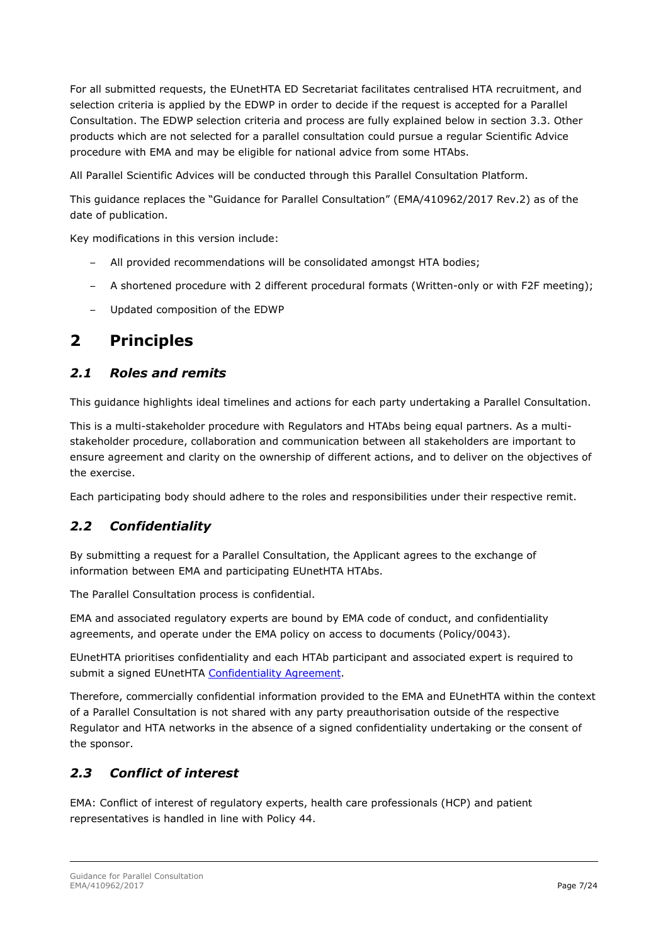For all submitted requests, the EUnetHTA ED Secretariat facilitates centralised HTA recruitment, and selection criteria is applied by the EDWP in order to decide if the request is accepted for a Parallel Consultation. The EDWP selection criteria and process are fully explained below in section 3.3. Other products which are not selected for a parallel consultation could pursue a regular Scientific Advice procedure with EMA and may be eligible for national advice from some HTAbs.

All Parallel Scientific Advices will be conducted through this Parallel Consultation Platform.

This guidance replaces the "Guidance for Parallel Consultation" (EMA/410962/2017 Rev.2) as of the date of publication.

Key modifications in this version include:

- All provided recommendations will be consolidated amongst HTA bodies;
- A shortened procedure with 2 different procedural formats (Written-only or with F2F meeting);
- Updated composition of the EDWP

## <span id="page-5-0"></span>**2 Principles**

#### <span id="page-5-1"></span>*2.1 Roles and remits*

This guidance highlights ideal timelines and actions for each party undertaking a Parallel Consultation.

This is a multi-stakeholder procedure with Regulators and HTAbs being equal partners. As a multistakeholder procedure, collaboration and communication between all stakeholders are important to ensure agreement and clarity on the ownership of different actions, and to deliver on the objectives of the exercise.

Each participating body should adhere to the roles and responsibilities under their respective remit.

### <span id="page-5-2"></span>*2.2 Confidentiality*

By submitting a request for a Parallel Consultation, the Applicant agrees to the exchange of information between EMA and participating EUnetHTA HTAbs.

The Parallel Consultation process is confidential.

EMA and associated regulatory experts are bound by EMA code of conduct, and confidentiality agreements, and operate under the EMA policy on access to documents (Policy/0043).

EUnetHTA prioritises confidentiality and each HTAb participant and associated expert is required to submit a signed EUnetHTA [Confidentiality Agreement.](https://eunethta.eu/wp-content/uploads/2020/03/Confidentiality-Agreement.pdf)

Therefore, commercially confidential information provided to the EMA and EUnetHTA within the context of a Parallel Consultation is not shared with any party preauthorisation outside of the respective Regulator and HTA networks in the absence of a signed confidentiality undertaking or the consent of the sponsor.

### <span id="page-5-3"></span>*2.3 Conflict of interest*

EMA: Conflict of interest of regulatory experts, health care professionals (HCP) and patient representatives is handled in line with Policy 44.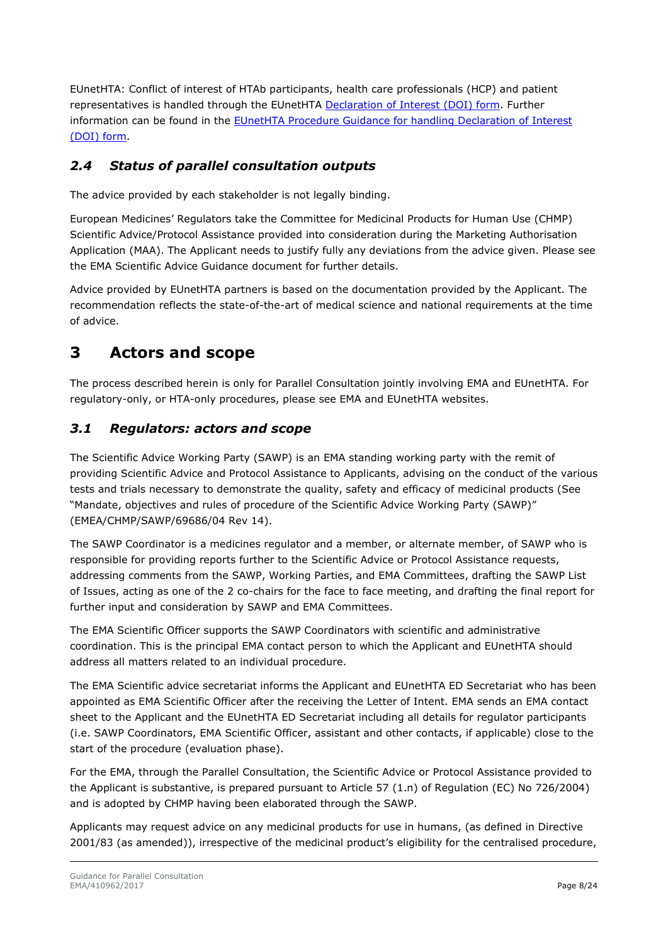EUnetHTA: Conflict of interest of HTAb participants, health care professionals (HCP) and patient representatives is handled through the EUnetHTA [Declaration of Interest \(DOI\) form.](https://eunethta.eu/wp-content/uploads/2019/11/Declaration-of-Interest-DOI-Form.pdf) Further information can be found in the [EUnetHTA Procedure Guidance for handling Declaration of Interest](https://eunethta.eu/wp-content/uploads/2019/11/EUnetHTA-Procedure-Guidelines-DOI.pdf)  [\(DOI\) form.](https://eunethta.eu/wp-content/uploads/2019/11/EUnetHTA-Procedure-Guidelines-DOI.pdf)

### <span id="page-6-0"></span>*2.4 Status of parallel consultation outputs*

The advice provided by each stakeholder is not legally binding.

European Medicines' Regulators take the Committee for Medicinal Products for Human Use (CHMP) Scientific Advice/Protocol Assistance provided into consideration during the Marketing Authorisation Application (MAA). The Applicant needs to justify fully any deviations from the advice given. Please see the EMA Scientific Advice Guidance document for further details.

Advice provided by EUnetHTA partners is based on the documentation provided by the Applicant. The recommendation reflects the state-of-the-art of medical science and national requirements at the time of advice.

## <span id="page-6-1"></span>**3 Actors and scope**

The process described herein is only for Parallel Consultation jointly involving EMA and EUnetHTA. For regulatory-only, or HTA-only procedures, please see EMA and EUnetHTA websites.

### <span id="page-6-2"></span>*3.1 Regulators: actors and scope*

The Scientific Advice Working Party (SAWP) is an EMA standing working party with the remit of providing Scientific Advice and Protocol Assistance to Applicants, advising on the conduct of the various tests and trials necessary to demonstrate the quality, safety and efficacy of medicinal products (See "Mandate, objectives and rules of procedure of the Scientific Advice Working Party (SAWP)" (EMEA/CHMP/SAWP/69686/04 Rev 14).

The SAWP Coordinator is a medicines regulator and a member, or alternate member, of SAWP who is responsible for providing reports further to the Scientific Advice or Protocol Assistance requests, addressing comments from the SAWP, Working Parties, and EMA Committees, drafting the SAWP List of Issues, acting as one of the 2 co-chairs for the face to face meeting, and drafting the final report for further input and consideration by SAWP and EMA Committees.

The EMA Scientific Officer supports the SAWP Coordinators with scientific and administrative coordination. This is the principal EMA contact person to which the Applicant and EUnetHTA should address all matters related to an individual procedure.

The EMA Scientific advice secretariat informs the Applicant and EUnetHTA ED Secretariat who has been appointed as EMA Scientific Officer after the receiving the Letter of Intent. EMA sends an EMA contact sheet to the Applicant and the EUnetHTA ED Secretariat including all details for regulator participants (i.e. SAWP Coordinators, EMA Scientific Officer, assistant and other contacts, if applicable) close to the start of the procedure (evaluation phase).

For the EMA, through the Parallel Consultation, the Scientific Advice or Protocol Assistance provided to the Applicant is substantive, is prepared pursuant to Article 57 (1.n) of Regulation (EC) No 726/2004) and is adopted by CHMP having been elaborated through the SAWP.

Applicants may request advice on any medicinal products for use in humans, (as defined in Directive 2001/83 (as amended)), irrespective of the medicinal product's eligibility for the centralised procedure,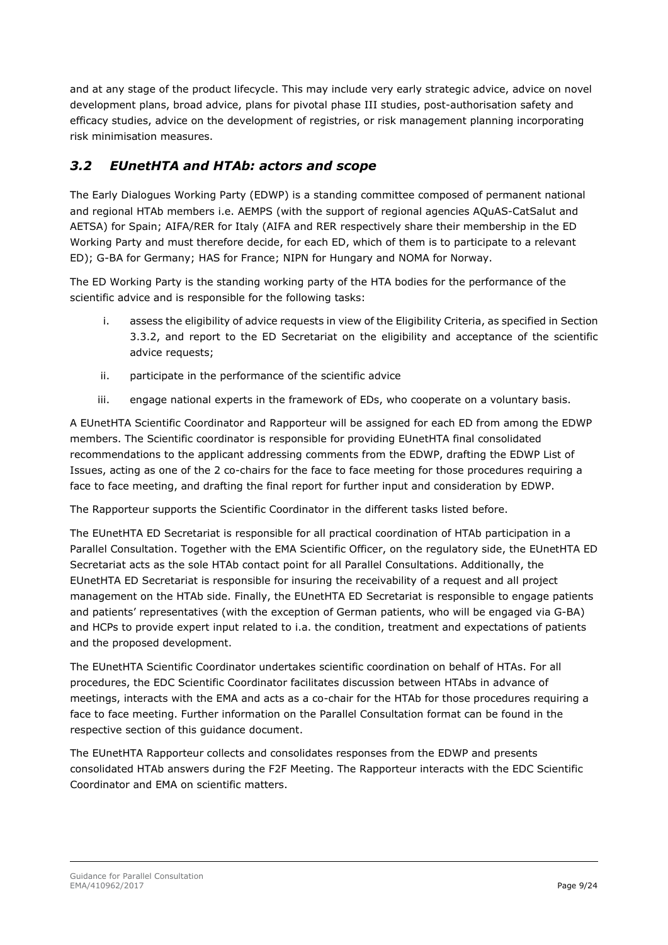and at any stage of the product lifecycle. This may include very early strategic advice, advice on novel development plans, broad advice, plans for pivotal phase III studies, post-authorisation safety and efficacy studies, advice on the development of registries, or risk management planning incorporating risk minimisation measures.

### <span id="page-7-0"></span>*3.2 EUnetHTA and HTAb: actors and scope*

The Early Dialogues Working Party (EDWP) is a standing committee composed of permanent national and regional HTAb members i.e. AEMPS (with the support of regional agencies AQuAS-CatSalut and AETSA) for Spain; AIFA/RER for Italy (AIFA and RER respectively share their membership in the ED Working Party and must therefore decide, for each ED, which of them is to participate to a relevant ED); G-BA for Germany; HAS for France; NIPN for Hungary and NOMA for Norway.

The ED Working Party is the standing working party of the HTA bodies for the performance of the scientific advice and is responsible for the following tasks:

- i. assess the eligibility of advice requests in view of the Eligibility Criteria, as specified in Section 3.3.2, and report to the ED Secretariat on the eligibility and acceptance of the scientific advice requests;
- ii. participate in the performance of the scientific advice
- iii. engage national experts in the framework of EDs, who cooperate on a voluntary basis.

A EUnetHTA Scientific Coordinator and Rapporteur will be assigned for each ED from among the EDWP members. The Scientific coordinator is responsible for providing EUnetHTA final consolidated recommendations to the applicant addressing comments from the EDWP, drafting the EDWP List of Issues, acting as one of the 2 co-chairs for the face to face meeting for those procedures requiring a face to face meeting, and drafting the final report for further input and consideration by EDWP.

The Rapporteur supports the Scientific Coordinator in the different tasks listed before.

The EUnetHTA ED Secretariat is responsible for all practical coordination of HTAb participation in a Parallel Consultation. Together with the EMA Scientific Officer, on the regulatory side, the EUnetHTA ED Secretariat acts as the sole HTAb contact point for all Parallel Consultations. Additionally, the EUnetHTA ED Secretariat is responsible for insuring the receivability of a request and all project management on the HTAb side. Finally, the EUnetHTA ED Secretariat is responsible to engage patients and patients' representatives (with the exception of German patients, who will be engaged via G-BA) and HCPs to provide expert input related to i.a. the condition, treatment and expectations of patients and the proposed development.

The EUnetHTA Scientific Coordinator undertakes scientific coordination on behalf of HTAs. For all procedures, the EDC Scientific Coordinator facilitates discussion between HTAbs in advance of meetings, interacts with the EMA and acts as a co-chair for the HTAb for those procedures requiring a face to face meeting. Further information on the Parallel Consultation format can be found in the respective section of this guidance document.

The EUnetHTA Rapporteur collects and consolidates responses from the EDWP and presents consolidated HTAb answers during the F2F Meeting. The Rapporteur interacts with the EDC Scientific Coordinator and EMA on scientific matters.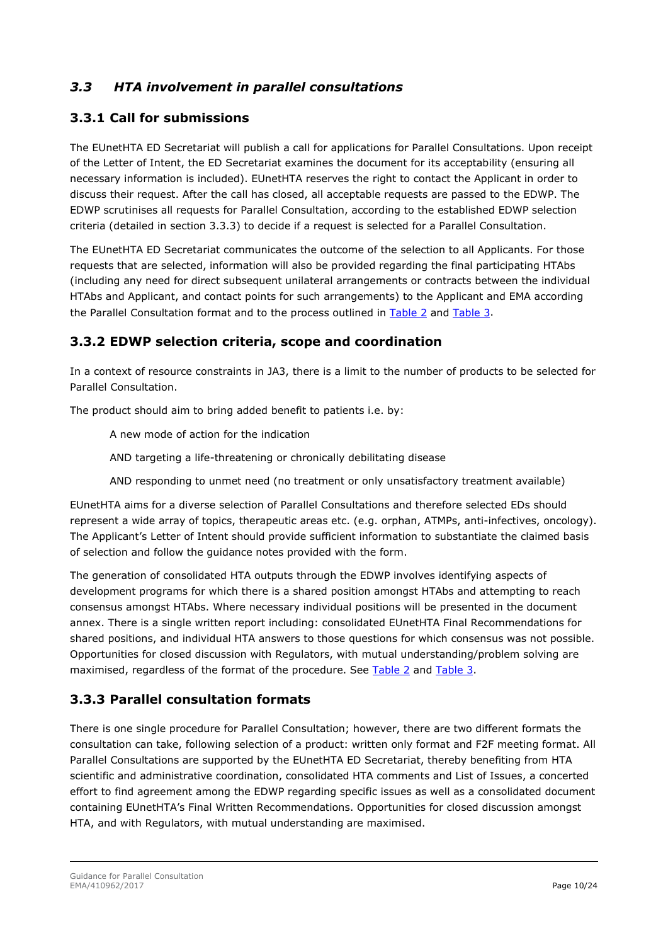### <span id="page-8-0"></span>*3.3 HTA involvement in parallel consultations*

### <span id="page-8-1"></span>**3.3.1 Call for submissions**

The EUnetHTA ED Secretariat will publish a call for applications for Parallel Consultations. Upon receipt of the Letter of Intent, the ED Secretariat examines the document for its acceptability (ensuring all necessary information is included). EUnetHTA reserves the right to contact the Applicant in order to discuss their request. After the call has closed, all acceptable requests are passed to the EDWP. The EDWP scrutinises all requests for Parallel Consultation, according to the established EDWP selection criteria (detailed in section 3.3.3) to decide if a request is selected for a Parallel Consultation.

The EUnetHTA ED Secretariat communicates the outcome of the selection to all Applicants. For those requests that are selected, information will also be provided regarding the final participating HTAbs (including any need for direct subsequent unilateral arrangements or contracts between the individual HTAbs and Applicant, and contact points for such arrangements) to the Applicant and EMA according the Parallel Consultation format and to the process outlined in [Table 2](#page-15-0) and Table 3.

### <span id="page-8-2"></span>**3.3.2 EDWP selection criteria, scope and coordination**

In a context of resource constraints in JA3, there is a limit to the number of products to be selected for Parallel Consultation.

The product should aim to bring added benefit to patients i.e. by:

A new mode of action for the indication

AND targeting a life-threatening or chronically debilitating disease

AND responding to unmet need (no treatment or only unsatisfactory treatment available)

EUnetHTA aims for a diverse selection of Parallel Consultations and therefore selected EDs should represent a wide array of topics, therapeutic areas etc. (e.g. orphan, ATMPs, anti-infectives, oncology). The Applicant's Letter of Intent should provide sufficient information to substantiate the claimed basis of selection and follow the guidance notes provided with the form.

The generation of consolidated HTA outputs through the EDWP involves identifying aspects of development programs for which there is a shared position amongst HTAbs and attempting to reach consensus amongst HTAbs. Where necessary individual positions will be presented in the document annex. There is a single written report including: consolidated EUnetHTA Final Recommendations for shared positions, and individual HTA answers to those questions for which consensus was not possible. Opportunities for closed discussion with Regulators, with mutual understanding/problem solving are maximised, regardless of the format of the procedure. See [Table 2](#page-15-0) and Table 3.

### <span id="page-8-3"></span>**3.3.3 Parallel consultation formats**

There is one single procedure for Parallel Consultation; however, there are two different formats the consultation can take, following selection of a product: written only format and F2F meeting format. All Parallel Consultations are supported by the EUnetHTA ED Secretariat, thereby benefiting from HTA scientific and administrative coordination, consolidated HTA comments and List of Issues, a concerted effort to find agreement among the EDWP regarding specific issues as well as a consolidated document containing EUnetHTA's Final Written Recommendations. Opportunities for closed discussion amongst HTA, and with Regulators, with mutual understanding are maximised.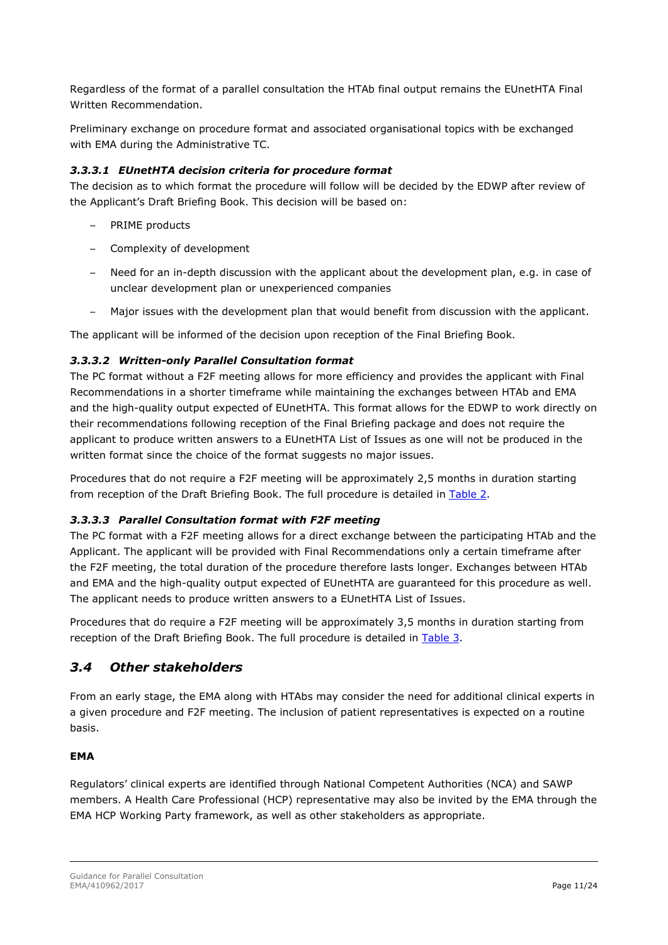Regardless of the format of a parallel consultation the HTAb final output remains the EUnetHTA Final Written Recommendation.

Preliminary exchange on procedure format and associated organisational topics with be exchanged with EMA during the Administrative TC.

#### *3.3.3.1 EUnetHTA decision criteria for procedure format*

The decision as to which format the procedure will follow will be decided by the EDWP after review of the Applicant's Draft Briefing Book. This decision will be based on:

- PRIME products
- Complexity of development
- Need for an in-depth discussion with the applicant about the development plan, e.g. in case of unclear development plan or unexperienced companies
- Major issues with the development plan that would benefit from discussion with the applicant.

The applicant will be informed of the decision upon reception of the Final Briefing Book.

#### *3.3.3.2 Written-only Parallel Consultation format*

The PC format without a F2F meeting allows for more efficiency and provides the applicant with Final Recommendations in a shorter timeframe while maintaining the exchanges between HTAb and EMA and the high-quality output expected of EUnetHTA. This format allows for the EDWP to work directly on their recommendations following reception of the Final Briefing package and does not require the applicant to produce written answers to a EUnetHTA List of Issues as one will not be produced in the written format since the choice of the format suggests no major issues.

Procedures that do not require a F2F meeting will be approximately 2,5 months in duration starting from reception of the Draft Briefing Book. The full procedure is detailed in [Table 2.](#page-15-0)

#### *3.3.3.3 Parallel Consultation format with F2F meeting*

The PC format with a F2F meeting allows for a direct exchange between the participating HTAb and the Applicant. The applicant will be provided with Final Recommendations only a certain timeframe after the F2F meeting, the total duration of the procedure therefore lasts longer. Exchanges between HTAb and EMA and the high-quality output expected of EUnetHTA are guaranteed for this procedure as well. The applicant needs to produce written answers to a EUnetHTA List of Issues.

Procedures that do require a F2F meeting will be approximately 3,5 months in duration starting from reception of the Draft Briefing Book. The full procedure is detailed in Table 3.

### <span id="page-9-0"></span>*3.4 Other stakeholders*

From an early stage, the EMA along with HTAbs may consider the need for additional clinical experts in a given procedure and F2F meeting. The inclusion of patient representatives is expected on a routine basis.

#### **EMA**

Regulators' clinical experts are identified through National Competent Authorities (NCA) and SAWP members. A Health Care Professional (HCP) representative may also be invited by the EMA through the EMA HCP Working Party framework, as well as other stakeholders as appropriate.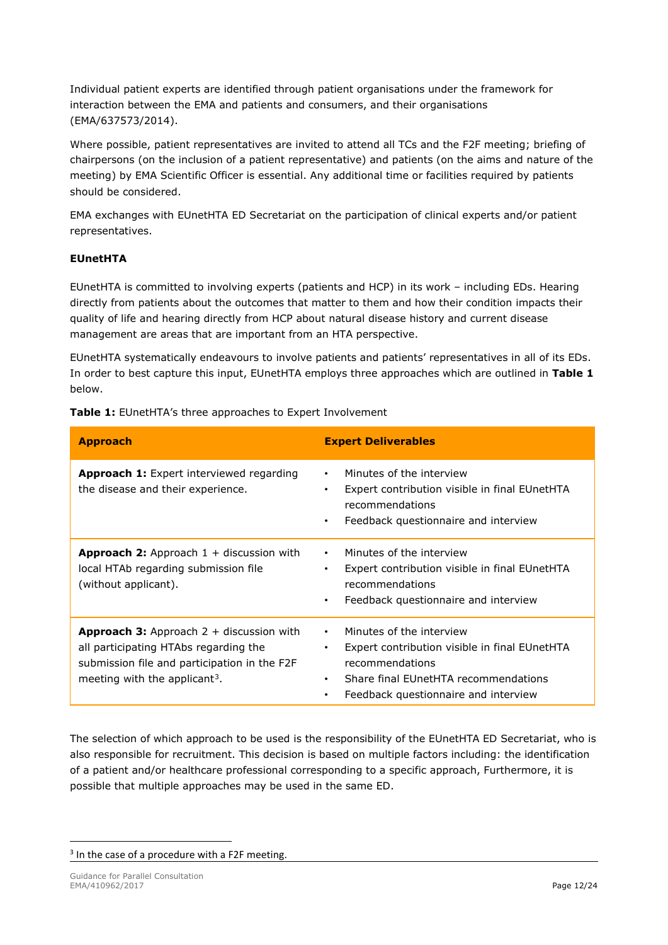Individual patient experts are identified through patient organisations under the framework for interaction between the EMA and patients and consumers, and their organisations (EMA/637573/2014).

Where possible, patient representatives are invited to attend all TCs and the F2F meeting; briefing of chairpersons (on the inclusion of a patient representative) and patients (on the aims and nature of the meeting) by EMA Scientific Officer is essential. Any additional time or facilities required by patients should be considered.

EMA exchanges with EUnetHTA ED Secretariat on the participation of clinical experts and/or patient representatives.

#### **EUnetHTA**

EUnetHTA is committed to involving experts (patients and HCP) in its work – including EDs. Hearing directly from patients about the outcomes that matter to them and how their condition impacts their quality of life and hearing directly from HCP about natural disease history and current disease management are areas that are important from an HTA perspective.

EUnetHTA systematically endeavours to involve patients and patients' representatives in all of its EDs. In order to best capture this input, EUnetHTA employs three approaches which are outlined in **Table 1** below.

**Table 1:** EUnetHTA's three approaches to Expert Involvement

| <b>Approach</b>                                                                                                                                                                         | <b>Expert Deliverables</b>                                                                                                                                                                          |  |  |
|-----------------------------------------------------------------------------------------------------------------------------------------------------------------------------------------|-----------------------------------------------------------------------------------------------------------------------------------------------------------------------------------------------------|--|--|
| <b>Approach 1:</b> Expert interviewed regarding<br>the disease and their experience.                                                                                                    | Minutes of the interview<br>$\bullet$<br>Expert contribution visible in final EUnetHTA<br>٠<br>recommendations<br>Feedback questionnaire and interview<br>$\bullet$                                 |  |  |
| <b>Approach 2:</b> Approach $1 +$ discussion with<br>local HTAb regarding submission file<br>(without applicant).                                                                       | Minutes of the interview<br>$\bullet$<br>Expert contribution visible in final EUnetHTA<br>٠<br>recommendations<br>Feedback questionnaire and interview<br>$\bullet$                                 |  |  |
| <b>Approach 3:</b> Approach $2 +$ discussion with<br>all participating HTAbs regarding the<br>submission file and participation in the F2F<br>meeting with the applicant <sup>3</sup> . | Minutes of the interview<br>$\bullet$<br>Expert contribution visible in final EUnetHTA<br>٠<br>recommendations<br>Share final EUnetHTA recommendations<br>Feedback questionnaire and interview<br>٠ |  |  |

The selection of which approach to be used is the responsibility of the EUnetHTA ED Secretariat, who is also responsible for recruitment. This decision is based on multiple factors including: the identification of a patient and/or healthcare professional corresponding to a specific approach, Furthermore, it is possible that multiple approaches may be used in the same ED.

<span id="page-10-0"></span><sup>&</sup>lt;sup>3</sup> In the case of a procedure with a F2F meeting.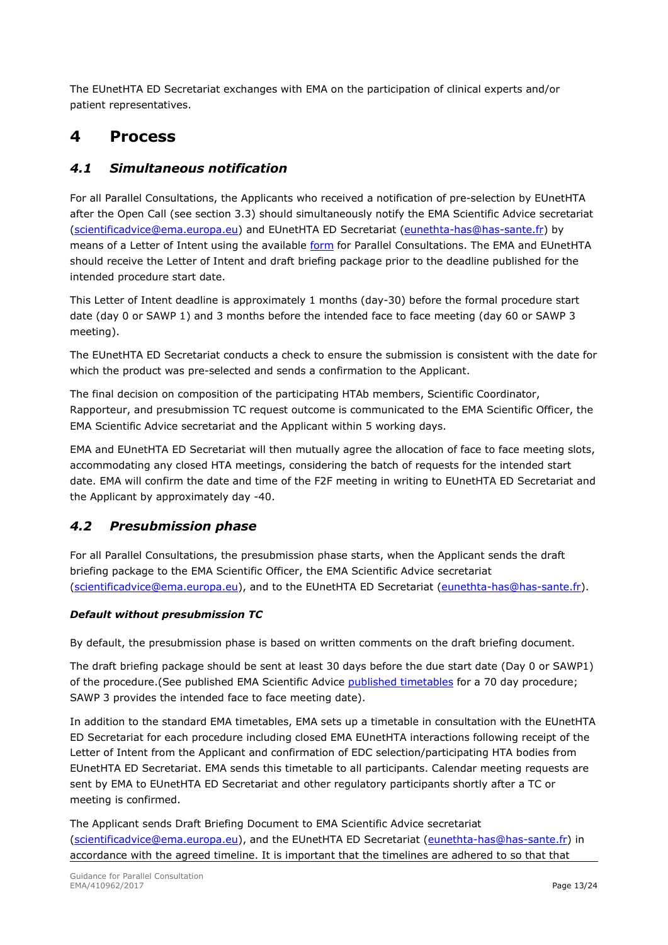The EUnetHTA ED Secretariat exchanges with EMA on the participation of clinical experts and/or patient representatives.

## <span id="page-11-0"></span>**4 Process**

### <span id="page-11-1"></span>*4.1 Simultaneous notification*

For all Parallel Consultations, the Applicants who received a notification of pre-selection by EUnetHTA after the Open Call (see section 3.3) should simultaneously notify the EMA Scientific Advice secretariat [\(scientificadvice@ema.europa.eu\)](mailto:scientificadvice@ema.europa.eu) and EUnetHTA ED Secretariat [\(eunethta-has@has-sante.fr\)](mailto:EUnetHTA-HAS@HAS-sante.fr?subject=Inquiry%20Regarding%20Parallel%20Conusltations) by means of a Letter of Intent using the available [form](https://www.ema.europa.eu/en/documents/template-form/template-letter-intent-request-scientific-advice-protocol-assistance_en.pdf) for Parallel Consultations. The EMA and EUnetHTA should receive the Letter of Intent and draft briefing package prior to the deadline published for the intended procedure start date.

This Letter of Intent deadline is approximately 1 months (day-30) before the formal procedure start date (day 0 or SAWP 1) and 3 months before the intended face to face meeting (day 60 or SAWP 3 meeting).

The EUnetHTA ED Secretariat conducts a check to ensure the submission is consistent with the date for which the product was pre-selected and sends a confirmation to the Applicant.

The final decision on composition of the participating HTAb members, Scientific Coordinator, Rapporteur, and presubmission TC request outcome is communicated to the EMA Scientific Officer, the EMA Scientific Advice secretariat and the Applicant within 5 working days.

EMA and EUnetHTA ED Secretariat will then mutually agree the allocation of face to face meeting slots, accommodating any closed HTA meetings, considering the batch of requests for the intended start date. EMA will confirm the date and time of the F2F meeting in writing to EUnetHTA ED Secretariat and the Applicant by approximately day -40.

### <span id="page-11-2"></span>*4.2 Presubmission phase*

For all Parallel Consultations, the presubmission phase starts, when the Applicant sends the draft briefing package to the EMA Scientific Officer, the EMA Scientific Advice secretariat [\(scientificadvice@ema.europa.eu\)](mailto:scientificadvice@ema.europa.eu), and to the EUnetHTA ED Secretariat [\(eunethta-has@has-sante.fr\)](mailto:eunethta-has@has-sante.fr).

#### *Default without presubmission TC*

By default, the presubmission phase is based on written comments on the draft briefing document.

The draft briefing package should be sent at least 30 days before the due start date (Day 0 or SAWP1) of the procedure.(See published EMA Scientific Advice [published timetables](http://www.ema.europa.eu/ema/index.jsp?curl=pages/regulation/document_listing/document_listing_000122.jsp&mid=WC0b01ac0580022bb2) for a 70 day procedure; SAWP 3 provides the intended face to face meeting date).

In addition to the standard EMA timetables, EMA sets up a timetable in consultation with the EUnetHTA ED Secretariat for each procedure including closed EMA EUnetHTA interactions following receipt of the Letter of Intent from the Applicant and confirmation of EDC selection/participating HTA bodies from EUnetHTA ED Secretariat. EMA sends this timetable to all participants. Calendar meeting requests are sent by EMA to EUnetHTA ED Secretariat and other regulatory participants shortly after a TC or meeting is confirmed.

The Applicant sends Draft Briefing Document to EMA Scientific Advice secretariat [\(scientificadvice@ema.europa.eu\)](mailto:scientificadvice@ema.europa.eu), and the EUnetHTA ED Secretariat [\(eunethta-has@has-sante.fr\)](mailto:eunethta-has@has-sante.fr) in accordance with the agreed timeline. It is important that the timelines are adhered to so that that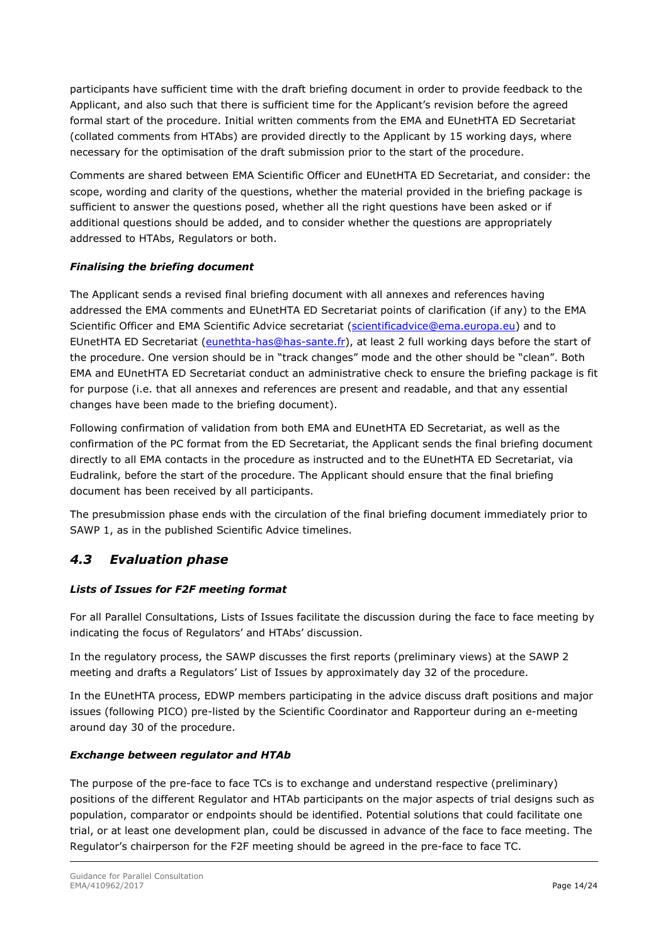participants have sufficient time with the draft briefing document in order to provide feedback to the Applicant, and also such that there is sufficient time for the Applicant's revision before the agreed formal start of the procedure. Initial written comments from the EMA and EUnetHTA ED Secretariat (collated comments from HTAbs) are provided directly to the Applicant by 15 working days, where necessary for the optimisation of the draft submission prior to the start of the procedure.

Comments are shared between EMA Scientific Officer and EUnetHTA ED Secretariat, and consider: the scope, wording and clarity of the questions, whether the material provided in the briefing package is sufficient to answer the questions posed, whether all the right questions have been asked or if additional questions should be added, and to consider whether the questions are appropriately addressed to HTAbs, Regulators or both.

#### *Finalising the briefing document*

The Applicant sends a revised final briefing document with all annexes and references having addressed the EMA comments and EUnetHTA ED Secretariat points of clarification (if any) to the EMA Scientific Officer and EMA Scientific Advice secretariat [\(scientificadvice@ema.europa.eu\)](mailto:scientificadvice@ema.europa.eu) and to EUnetHTA ED Secretariat [\(eunethta-has@has-sante.fr\)](mailto:eunethta-has@has-sante.fr), at least 2 full working days before the start of the procedure. One version should be in "track changes" mode and the other should be "clean". Both EMA and EUnetHTA ED Secretariat conduct an administrative check to ensure the briefing package is fit for purpose (i.e. that all annexes and references are present and readable, and that any essential changes have been made to the briefing document).

Following confirmation of validation from both EMA and EUnetHTA ED Secretariat, as well as the confirmation of the PC format from the ED Secretariat, the Applicant sends the final briefing document directly to all EMA contacts in the procedure as instructed and to the EUnetHTA ED Secretariat, via Eudralink, before the start of the procedure. The Applicant should ensure that the final briefing document has been received by all participants.

The presubmission phase ends with the circulation of the final briefing document immediately prior to SAWP 1, as in the published Scientific Advice timelines.

### <span id="page-12-0"></span>*4.3 Evaluation phase*

#### *Lists of Issues for F2F meeting format*

For all Parallel Consultations, Lists of Issues facilitate the discussion during the face to face meeting by indicating the focus of Regulators' and HTAbs' discussion.

In the regulatory process, the SAWP discusses the first reports (preliminary views) at the SAWP 2 meeting and drafts a Regulators' List of Issues by approximately day 32 of the procedure.

In the EUnetHTA process, EDWP members participating in the advice discuss draft positions and major issues (following PICO) pre-listed by the Scientific Coordinator and Rapporteur during an e-meeting around day 30 of the procedure.

#### *Exchange between regulator and HTAb*

The purpose of the pre-face to face TCs is to exchange and understand respective (preliminary) positions of the different Regulator and HTAb participants on the major aspects of trial designs such as population, comparator or endpoints should be identified. Potential solutions that could facilitate one trial, or at least one development plan, could be discussed in advance of the face to face meeting. The Regulator's chairperson for the F2F meeting should be agreed in the pre-face to face TC.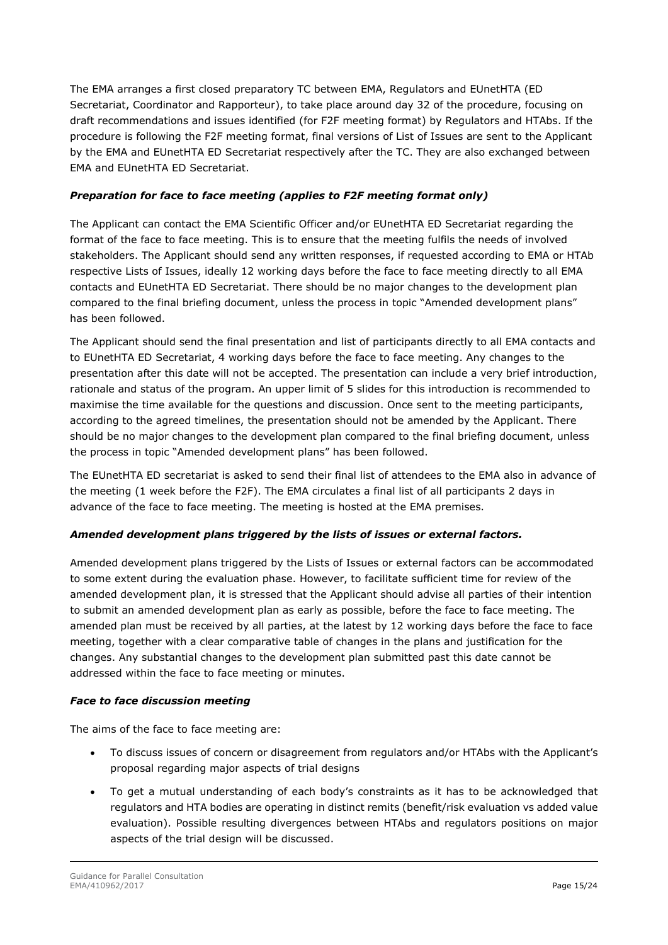The EMA arranges a first closed preparatory TC between EMA, Regulators and EUnetHTA (ED Secretariat, Coordinator and Rapporteur), to take place around day 32 of the procedure, focusing on draft recommendations and issues identified (for F2F meeting format) by Regulators and HTAbs. If the procedure is following the F2F meeting format, final versions of List of Issues are sent to the Applicant by the EMA and EUnetHTA ED Secretariat respectively after the TC. They are also exchanged between EMA and EUnetHTA ED Secretariat.

#### *Preparation for face to face meeting (applies to F2F meeting format only)*

The Applicant can contact the EMA Scientific Officer and/or EUnetHTA ED Secretariat regarding the format of the face to face meeting. This is to ensure that the meeting fulfils the needs of involved stakeholders. The Applicant should send any written responses, if requested according to EMA or HTAb respective Lists of Issues, ideally 12 working days before the face to face meeting directly to all EMA contacts and EUnetHTA ED Secretariat. There should be no major changes to the development plan compared to the final briefing document, unless the process in topic "Amended development plans" has been followed.

The Applicant should send the final presentation and list of participants directly to all EMA contacts and to EUnetHTA ED Secretariat, 4 working days before the face to face meeting. Any changes to the presentation after this date will not be accepted. The presentation can include a very brief introduction, rationale and status of the program. An upper limit of 5 slides for this introduction is recommended to maximise the time available for the questions and discussion. Once sent to the meeting participants, according to the agreed timelines, the presentation should not be amended by the Applicant. There should be no major changes to the development plan compared to the final briefing document, unless the process in topic "Amended development plans" has been followed.

The EUnetHTA ED secretariat is asked to send their final list of attendees to the EMA also in advance of the meeting (1 week before the F2F). The EMA circulates a final list of all participants 2 days in advance of the face to face meeting. The meeting is hosted at the EMA premises.

#### *Amended development plans triggered by the lists of issues or external factors.*

Amended development plans triggered by the Lists of Issues or external factors can be accommodated to some extent during the evaluation phase. However, to facilitate sufficient time for review of the amended development plan, it is stressed that the Applicant should advise all parties of their intention to submit an amended development plan as early as possible, before the face to face meeting. The amended plan must be received by all parties, at the latest by 12 working days before the face to face meeting, together with a clear comparative table of changes in the plans and justification for the changes. Any substantial changes to the development plan submitted past this date cannot be addressed within the face to face meeting or minutes.

#### *Face to face discussion meeting*

The aims of the face to face meeting are:

- To discuss issues of concern or disagreement from regulators and/or HTAbs with the Applicant's proposal regarding major aspects of trial designs
- To get a mutual understanding of each body's constraints as it has to be acknowledged that regulators and HTA bodies are operating in distinct remits (benefit/risk evaluation vs added value evaluation). Possible resulting divergences between HTAbs and regulators positions on major aspects of the trial design will be discussed.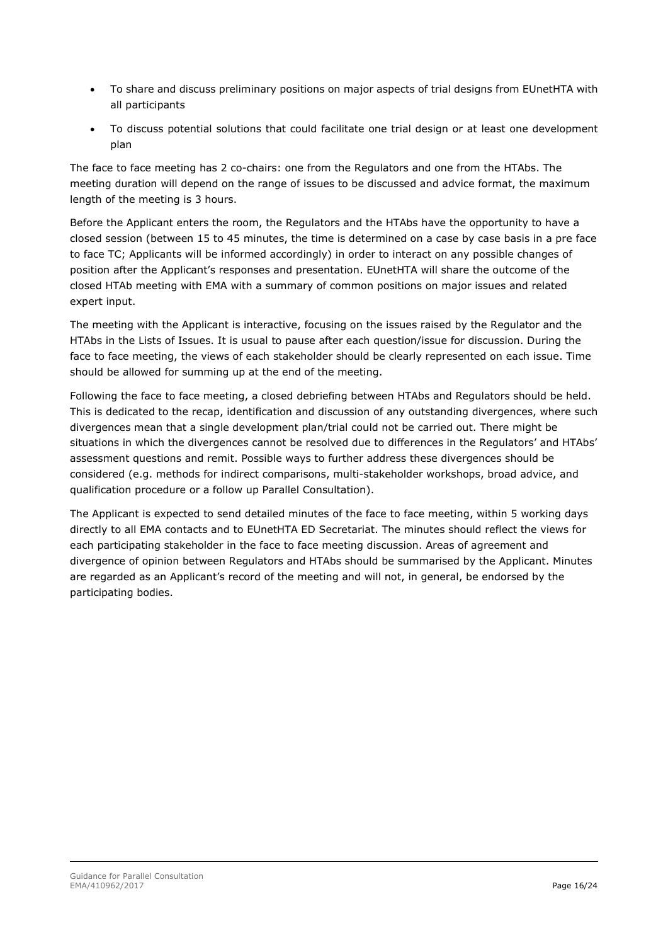- To share and discuss preliminary positions on major aspects of trial designs from EUnetHTA with all participants
- To discuss potential solutions that could facilitate one trial design or at least one development plan

The face to face meeting has 2 co-chairs: one from the Regulators and one from the HTAbs. The meeting duration will depend on the range of issues to be discussed and advice format, the maximum length of the meeting is 3 hours.

Before the Applicant enters the room, the Regulators and the HTAbs have the opportunity to have a closed session (between 15 to 45 minutes, the time is determined on a case by case basis in a pre face to face TC; Applicants will be informed accordingly) in order to interact on any possible changes of position after the Applicant's responses and presentation. EUnetHTA will share the outcome of the closed HTAb meeting with EMA with a summary of common positions on major issues and related expert input.

The meeting with the Applicant is interactive, focusing on the issues raised by the Regulator and the HTAbs in the Lists of Issues. It is usual to pause after each question/issue for discussion. During the face to face meeting, the views of each stakeholder should be clearly represented on each issue. Time should be allowed for summing up at the end of the meeting.

Following the face to face meeting, a closed debriefing between HTAbs and Regulators should be held. This is dedicated to the recap, identification and discussion of any outstanding divergences, where such divergences mean that a single development plan/trial could not be carried out. There might be situations in which the divergences cannot be resolved due to differences in the Regulators' and HTAbs' assessment questions and remit. Possible ways to further address these divergences should be considered (e.g. methods for indirect comparisons, multi-stakeholder workshops, broad advice, and qualification procedure or a follow up Parallel Consultation).

The Applicant is expected to send detailed minutes of the face to face meeting, within 5 working days directly to all EMA contacts and to EUnetHTA ED Secretariat. The minutes should reflect the views for each participating stakeholder in the face to face meeting discussion. Areas of agreement and divergence of opinion between Regulators and HTAbs should be summarised by the Applicant. Minutes are regarded as an Applicant's record of the meeting and will not, in general, be endorsed by the participating bodies.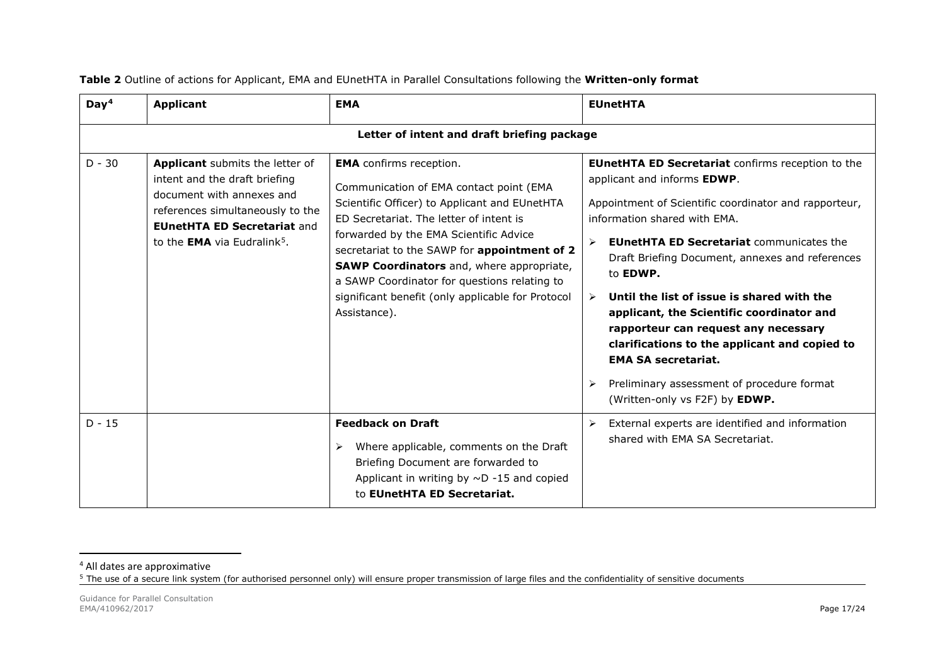| Day <sup>4</sup> | <b>Applicant</b>                                                                                                                                                                                                          | <b>EMA</b>                                                                                                                                                                                                                                                                                                                                                                                                                               | <b>EUnetHTA</b>                                                                                                                                                                                                                                                                                                                                                                                                                                                                                                                                                                                                                 |  |  |  |
|------------------|---------------------------------------------------------------------------------------------------------------------------------------------------------------------------------------------------------------------------|------------------------------------------------------------------------------------------------------------------------------------------------------------------------------------------------------------------------------------------------------------------------------------------------------------------------------------------------------------------------------------------------------------------------------------------|---------------------------------------------------------------------------------------------------------------------------------------------------------------------------------------------------------------------------------------------------------------------------------------------------------------------------------------------------------------------------------------------------------------------------------------------------------------------------------------------------------------------------------------------------------------------------------------------------------------------------------|--|--|--|
|                  | Letter of intent and draft briefing package                                                                                                                                                                               |                                                                                                                                                                                                                                                                                                                                                                                                                                          |                                                                                                                                                                                                                                                                                                                                                                                                                                                                                                                                                                                                                                 |  |  |  |
| $D - 30$         | Applicant submits the letter of<br>intent and the draft briefing<br>document with annexes and<br>references simultaneously to the<br><b>EUnetHTA ED Secretariat and</b><br>to the <b>EMA</b> via Eudralink <sup>5</sup> . | <b>EMA</b> confirms reception.<br>Communication of EMA contact point (EMA<br>Scientific Officer) to Applicant and EUnetHTA<br>ED Secretariat. The letter of intent is<br>forwarded by the EMA Scientific Advice<br>secretariat to the SAWP for appointment of 2<br><b>SAWP Coordinators</b> and, where appropriate,<br>a SAWP Coordinator for questions relating to<br>significant benefit (only applicable for Protocol<br>Assistance). | <b>EUnetHTA ED Secretariat confirms reception to the</b><br>applicant and informs EDWP.<br>Appointment of Scientific coordinator and rapporteur,<br>information shared with EMA.<br><b>EUnetHTA ED Secretariat communicates the</b><br>Draft Briefing Document, annexes and references<br>to <b>EDWP.</b><br>Until the list of issue is shared with the<br>$\triangleright$<br>applicant, the Scientific coordinator and<br>rapporteur can request any necessary<br>clarifications to the applicant and copied to<br><b>EMA SA secretariat.</b><br>Preliminary assessment of procedure format<br>(Written-only vs F2F) by EDWP. |  |  |  |
| $D - 15$         |                                                                                                                                                                                                                           | <b>Feedback on Draft</b><br>Where applicable, comments on the Draft<br>Briefing Document are forwarded to<br>Applicant in writing by $\sim$ D -15 and copied<br>to EUnetHTA ED Secretariat.                                                                                                                                                                                                                                              | External experts are identified and information<br>$\blacktriangleright$<br>shared with EMA SA Secretariat.                                                                                                                                                                                                                                                                                                                                                                                                                                                                                                                     |  |  |  |

#### <span id="page-15-2"></span><span id="page-15-1"></span>**Table 2** Outline of actions for Applicant, EMA and EUnetHTA in Parallel Consultations following the **Written-only format**

<span id="page-15-0"></span><sup>&</sup>lt;sup>4</sup> All dates are approximative

 $^5$  The use of a secure link system (for authorised personnel only) will ensure proper transmission of large files and the confidentiality of sensitive documents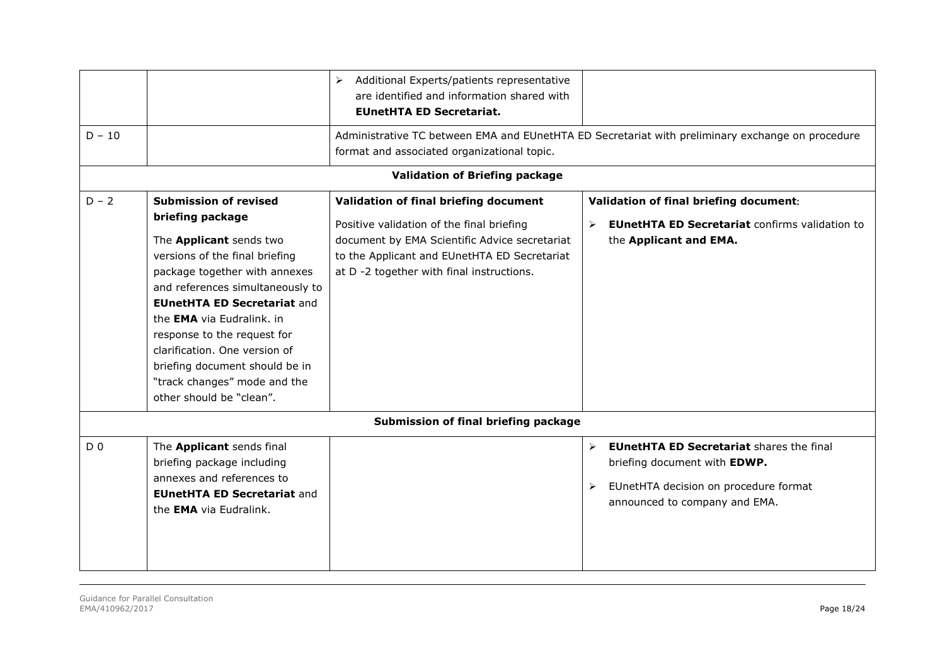| $D - 10$       |                                                                                                                                                                                                                                                                                                                                                                                                                            | Additional Experts/patients representative<br>➤<br>are identified and information shared with<br><b>EUnetHTA ED Secretariat.</b><br>format and associated organizational topic.                                                  | Administrative TC between EMA and EUnetHTA ED Secretariat with preliminary exchange on procedure                                                                                        |
|----------------|----------------------------------------------------------------------------------------------------------------------------------------------------------------------------------------------------------------------------------------------------------------------------------------------------------------------------------------------------------------------------------------------------------------------------|----------------------------------------------------------------------------------------------------------------------------------------------------------------------------------------------------------------------------------|-----------------------------------------------------------------------------------------------------------------------------------------------------------------------------------------|
|                |                                                                                                                                                                                                                                                                                                                                                                                                                            | <b>Validation of Briefing package</b>                                                                                                                                                                                            |                                                                                                                                                                                         |
| $D - 2$        | <b>Submission of revised</b><br>briefing package<br>The Applicant sends two<br>versions of the final briefing<br>package together with annexes<br>and references simultaneously to<br><b>EUnetHTA ED Secretariat and</b><br>the <b>EMA</b> via Eudralink. in<br>response to the request for<br>clarification. One version of<br>briefing document should be in<br>"track changes" mode and the<br>other should be "clean". | Validation of final briefing document<br>Positive validation of the final briefing<br>document by EMA Scientific Advice secretariat<br>to the Applicant and EUnetHTA ED Secretariat<br>at D -2 together with final instructions. | Validation of final briefing document:<br><b>EUnetHTA ED Secretariat confirms validation to</b><br>$\blacktriangleright$<br>the Applicant and EMA.                                      |
|                |                                                                                                                                                                                                                                                                                                                                                                                                                            | Submission of final briefing package                                                                                                                                                                                             |                                                                                                                                                                                         |
| D <sub>0</sub> | The Applicant sends final<br>briefing package including<br>annexes and references to<br><b>EUnetHTA ED Secretariat and</b><br>the <b>EMA</b> via Eudralink.                                                                                                                                                                                                                                                                |                                                                                                                                                                                                                                  | <b>EUnetHTA ED Secretariat shares the final</b><br>$\blacktriangleright$<br>briefing document with EDWP.<br>EUnetHTA decision on procedure format<br>➤<br>announced to company and EMA. |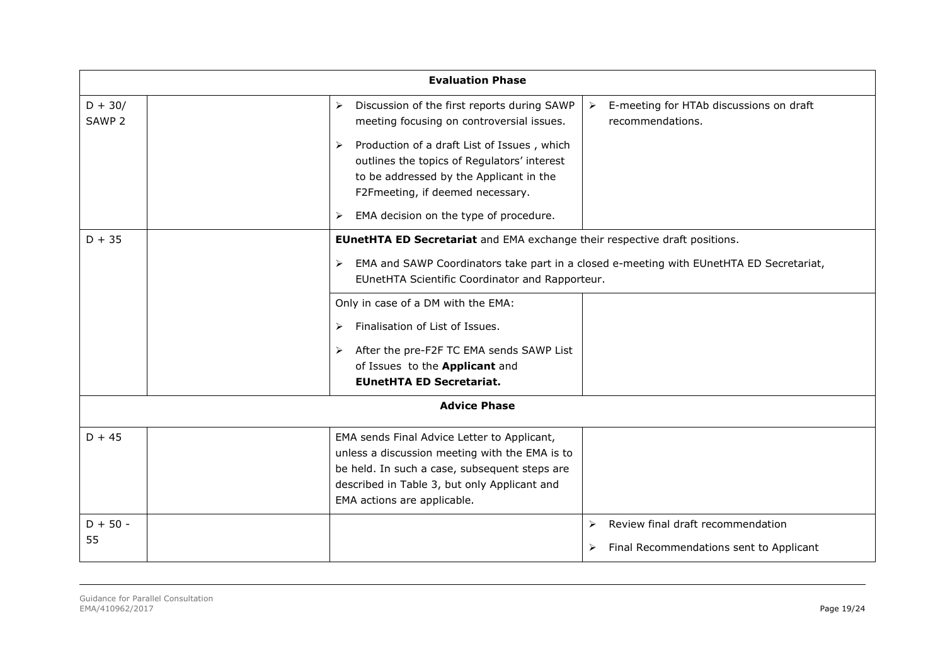|                                | <b>Evaluation Phase</b>                                                                                                                                                                                                                                                                                                                       |                                                                                         |
|--------------------------------|-----------------------------------------------------------------------------------------------------------------------------------------------------------------------------------------------------------------------------------------------------------------------------------------------------------------------------------------------|-----------------------------------------------------------------------------------------|
| $D + 30/$<br>SAWP <sub>2</sub> | Discussion of the first reports during SAWP<br>$\blacktriangleright$<br>meeting focusing on controversial issues.<br>Production of a draft List of Issues, which<br>outlines the topics of Regulators' interest<br>to be addressed by the Applicant in the<br>F2Fmeeting, if deemed necessary.<br>EMA decision on the type of procedure.<br>≻ | E-meeting for HTAb discussions on draft<br>$\blacktriangleright$<br>recommendations.    |
| $D + 35$                       | <b>EUnetHTA ED Secretariat</b> and EMA exchange their respective draft positions.                                                                                                                                                                                                                                                             |                                                                                         |
|                                | ➤<br>EUnetHTA Scientific Coordinator and Rapporteur.                                                                                                                                                                                                                                                                                          | EMA and SAWP Coordinators take part in a closed e-meeting with EUnetHTA ED Secretariat, |
|                                | Only in case of a DM with the EMA:                                                                                                                                                                                                                                                                                                            |                                                                                         |
|                                | Finalisation of List of Issues.<br>$\blacktriangleright$                                                                                                                                                                                                                                                                                      |                                                                                         |
|                                | After the pre-F2F TC EMA sends SAWP List<br>➤                                                                                                                                                                                                                                                                                                 |                                                                                         |
|                                | of Issues to the Applicant and                                                                                                                                                                                                                                                                                                                |                                                                                         |
|                                | <b>EUnetHTA ED Secretariat.</b>                                                                                                                                                                                                                                                                                                               |                                                                                         |
|                                | <b>Advice Phase</b>                                                                                                                                                                                                                                                                                                                           |                                                                                         |
| $D + 45$                       | EMA sends Final Advice Letter to Applicant,<br>unless a discussion meeting with the EMA is to<br>be held. In such a case, subsequent steps are<br>described in Table 3, but only Applicant and<br>EMA actions are applicable.                                                                                                                 |                                                                                         |
| $D + 50 -$<br>55               |                                                                                                                                                                                                                                                                                                                                               | Review final draft recommendation<br>➤<br>Final Recommendations sent to Applicant<br>➤  |
|                                |                                                                                                                                                                                                                                                                                                                                               |                                                                                         |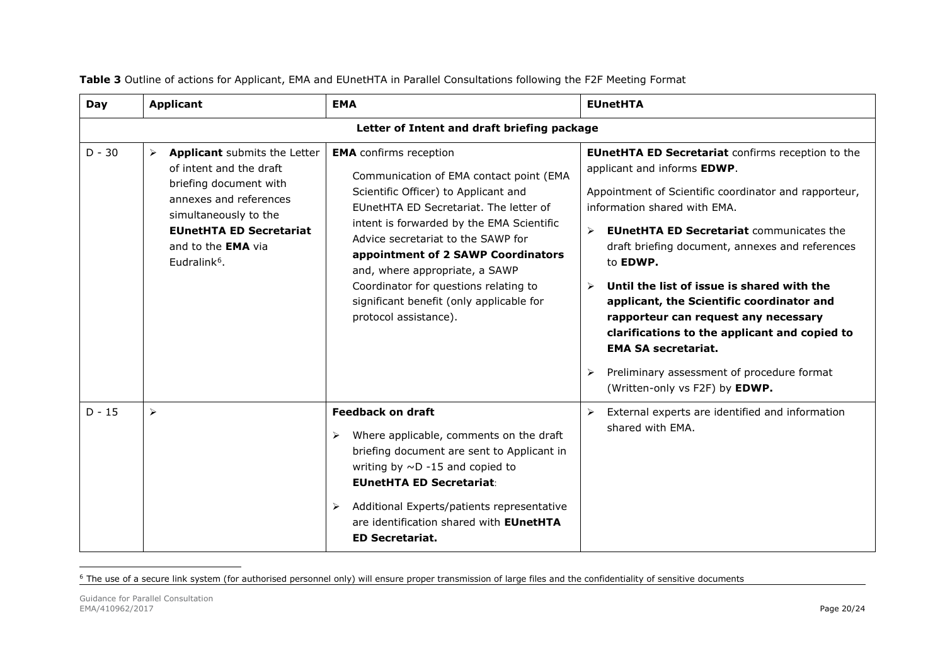| Day      | <b>Applicant</b>                                                                                                                                                                                                                                                | <b>EMA</b>                                                                                                                                                                                                                                                                                                                                                                                                                                                                                                                                                                                                   | <b>EUnetHTA</b>                                                                                                                                                                                                                                                                                                                                                                                                                                                                                                                                                                                             |  |  |  |
|----------|-----------------------------------------------------------------------------------------------------------------------------------------------------------------------------------------------------------------------------------------------------------------|--------------------------------------------------------------------------------------------------------------------------------------------------------------------------------------------------------------------------------------------------------------------------------------------------------------------------------------------------------------------------------------------------------------------------------------------------------------------------------------------------------------------------------------------------------------------------------------------------------------|-------------------------------------------------------------------------------------------------------------------------------------------------------------------------------------------------------------------------------------------------------------------------------------------------------------------------------------------------------------------------------------------------------------------------------------------------------------------------------------------------------------------------------------------------------------------------------------------------------------|--|--|--|
|          | Letter of Intent and draft briefing package                                                                                                                                                                                                                     |                                                                                                                                                                                                                                                                                                                                                                                                                                                                                                                                                                                                              |                                                                                                                                                                                                                                                                                                                                                                                                                                                                                                                                                                                                             |  |  |  |
| $D - 30$ | <b>Applicant</b> submits the Letter<br>$\blacktriangleright$<br>of intent and the draft<br>briefing document with<br>annexes and references<br>simultaneously to the<br><b>EUnetHTA ED Secretariat</b><br>and to the <b>EMA</b> via<br>Eudralink <sup>6</sup> . | <b>EMA</b> confirms reception<br>Communication of EMA contact point (EMA<br>Scientific Officer) to Applicant and<br>EUnetHTA ED Secretariat. The letter of<br>intent is forwarded by the EMA Scientific<br>$\blacktriangleright$<br>Advice secretariat to the SAWP for<br>appointment of 2 SAWP Coordinators<br>and, where appropriate, a SAWP<br>Coordinator for questions relating to<br>$\blacktriangleright$<br>significant benefit (only applicable for<br>protocol assistance).<br>➤<br>$\blacktriangleright$<br>Where applicable, comments on the draft<br>briefing document are sent to Applicant in | <b>EUnetHTA ED Secretariat confirms reception to the</b><br>applicant and informs EDWP.<br>Appointment of Scientific coordinator and rapporteur,<br>information shared with EMA.<br><b>EUnetHTA ED Secretariat communicates the</b><br>draft briefing document, annexes and references<br>to <b>EDWP.</b><br>Until the list of issue is shared with the<br>applicant, the Scientific coordinator and<br>rapporteur can request any necessary<br>clarifications to the applicant and copied to<br><b>EMA SA secretariat.</b><br>Preliminary assessment of procedure format<br>(Written-only vs F2F) by EDWP. |  |  |  |
| $D - 15$ | $\blacktriangleright$                                                                                                                                                                                                                                           | <b>Feedback on draft</b><br>➤<br>writing by $\sim$ D -15 and copied to<br><b>EUnetHTA ED Secretariat:</b><br>Additional Experts/patients representative<br>➤<br>are identification shared with <b>EUnetHTA</b><br><b>ED Secretariat.</b>                                                                                                                                                                                                                                                                                                                                                                     | External experts are identified and information<br>shared with EMA.                                                                                                                                                                                                                                                                                                                                                                                                                                                                                                                                         |  |  |  |

<span id="page-18-0"></span>**Table 3** Outline of actions for Applicant, EMA and EUnetHTA in Parallel Consultations following the F2F Meeting Format

<sup>6</sup> The use of a secure link system (for authorised personnel only) will ensure proper transmission of large files and the confidentiality of sensitive documents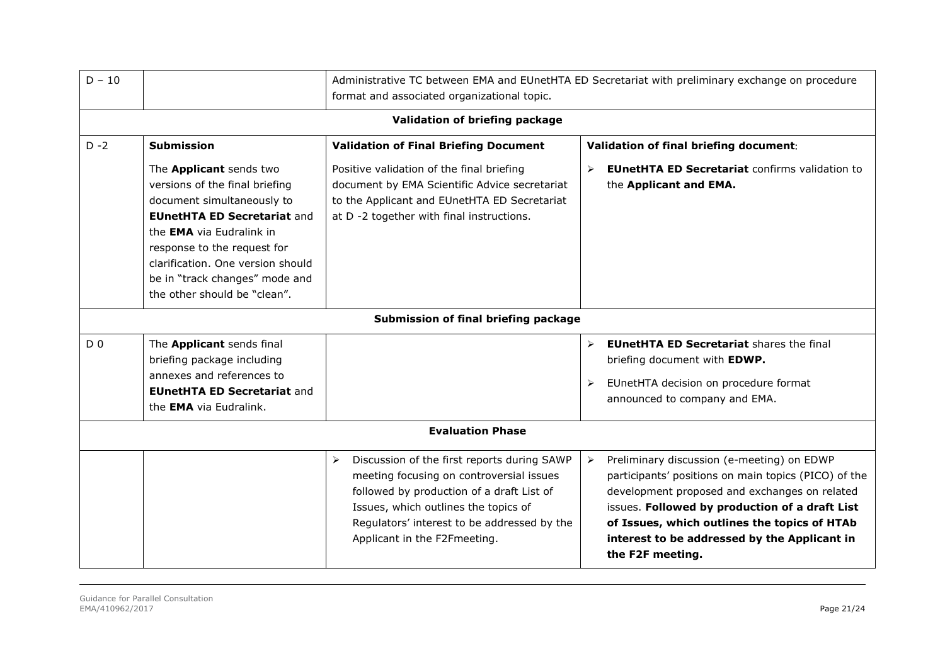| $D - 10$       |                                                                                                                                                                                                                                                                                                        | Administrative TC between EMA and EUnetHTA ED Secretariat with preliminary exchange on procedure<br>format and associated organizational topic.                                                                                                                                      |                                                                                                                                                                                                                                                                                                                                                    |  |  |  |  |
|----------------|--------------------------------------------------------------------------------------------------------------------------------------------------------------------------------------------------------------------------------------------------------------------------------------------------------|--------------------------------------------------------------------------------------------------------------------------------------------------------------------------------------------------------------------------------------------------------------------------------------|----------------------------------------------------------------------------------------------------------------------------------------------------------------------------------------------------------------------------------------------------------------------------------------------------------------------------------------------------|--|--|--|--|
|                | Validation of briefing package                                                                                                                                                                                                                                                                         |                                                                                                                                                                                                                                                                                      |                                                                                                                                                                                                                                                                                                                                                    |  |  |  |  |
| $D - 2$        | <b>Submission</b>                                                                                                                                                                                                                                                                                      | <b>Validation of Final Briefing Document</b>                                                                                                                                                                                                                                         | Validation of final briefing document:                                                                                                                                                                                                                                                                                                             |  |  |  |  |
|                | The Applicant sends two<br>versions of the final briefing<br>document simultaneously to<br><b>EUnetHTA ED Secretariat and</b><br>the <b>EMA</b> via Eudralink in<br>response to the request for<br>clarification. One version should<br>be in "track changes" mode and<br>the other should be "clean". | Positive validation of the final briefing<br>document by EMA Scientific Advice secretariat<br>to the Applicant and EUnetHTA ED Secretariat<br>at D -2 together with final instructions.                                                                                              | <b>EUnetHTA ED Secretariat confirms validation to</b><br>➤<br>the Applicant and EMA.                                                                                                                                                                                                                                                               |  |  |  |  |
|                |                                                                                                                                                                                                                                                                                                        | Submission of final briefing package                                                                                                                                                                                                                                                 |                                                                                                                                                                                                                                                                                                                                                    |  |  |  |  |
| D <sub>0</sub> | The Applicant sends final<br>briefing package including<br>annexes and references to<br><b>EUnetHTA ED Secretariat and</b><br>the <b>EMA</b> via Eudralink.                                                                                                                                            |                                                                                                                                                                                                                                                                                      | <b>EUnetHTA ED Secretariat shares the final</b><br>$\blacktriangleright$<br>briefing document with EDWP.<br>EUnetHTA decision on procedure format<br>➤<br>announced to company and EMA.                                                                                                                                                            |  |  |  |  |
|                |                                                                                                                                                                                                                                                                                                        | <b>Evaluation Phase</b>                                                                                                                                                                                                                                                              |                                                                                                                                                                                                                                                                                                                                                    |  |  |  |  |
|                |                                                                                                                                                                                                                                                                                                        | Discussion of the first reports during SAWP<br>$\blacktriangleright$<br>meeting focusing on controversial issues<br>followed by production of a draft List of<br>Issues, which outlines the topics of<br>Regulators' interest to be addressed by the<br>Applicant in the F2Fmeeting. | Preliminary discussion (e-meeting) on EDWP<br>$\blacktriangleright$<br>participants' positions on main topics (PICO) of the<br>development proposed and exchanges on related<br>issues. Followed by production of a draft List<br>of Issues, which outlines the topics of HTAb<br>interest to be addressed by the Applicant in<br>the F2F meeting. |  |  |  |  |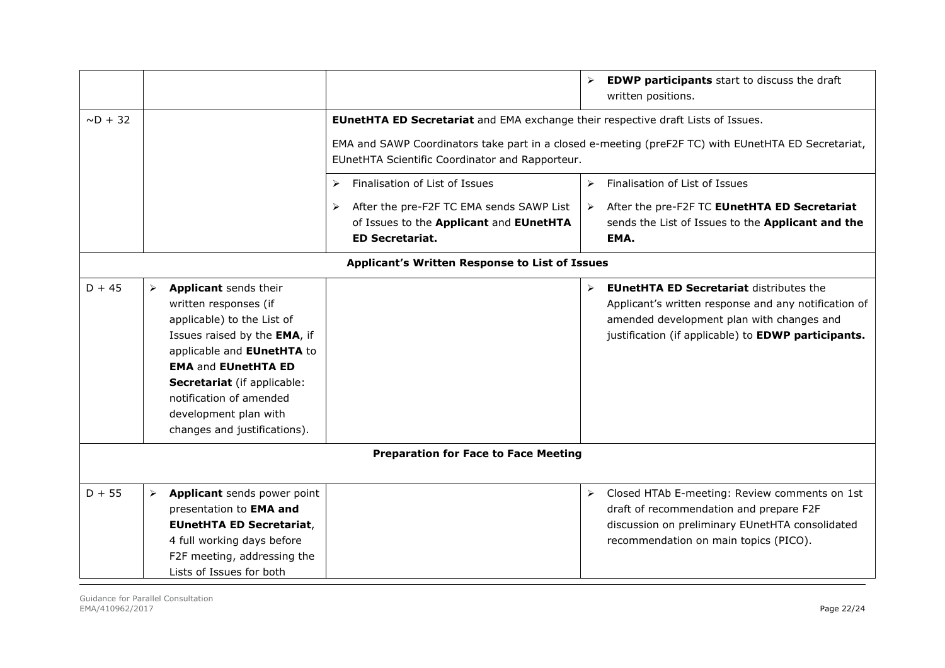|               |                                             |                                                                                                                                                                                                                                                                                             |                                                                                                                    | ➤                     | <b>EDWP participants</b> start to discuss the draft<br>written positions.                                                                                                                                  |
|---------------|---------------------------------------------|---------------------------------------------------------------------------------------------------------------------------------------------------------------------------------------------------------------------------------------------------------------------------------------------|--------------------------------------------------------------------------------------------------------------------|-----------------------|------------------------------------------------------------------------------------------------------------------------------------------------------------------------------------------------------------|
| $\sim D + 32$ |                                             |                                                                                                                                                                                                                                                                                             | <b>EUnetHTA ED Secretariat</b> and EMA exchange their respective draft Lists of Issues.                            |                       |                                                                                                                                                                                                            |
|               |                                             |                                                                                                                                                                                                                                                                                             | EUnetHTA Scientific Coordinator and Rapporteur.                                                                    |                       | EMA and SAWP Coordinators take part in a closed e-meeting (preF2F TC) with EUnetHTA ED Secretariat,                                                                                                        |
|               |                                             |                                                                                                                                                                                                                                                                                             | Finalisation of List of Issues<br>➤                                                                                | $\blacktriangleright$ | Finalisation of List of Issues                                                                                                                                                                             |
|               |                                             |                                                                                                                                                                                                                                                                                             | After the pre-F2F TC EMA sends SAWP List<br>➤<br>of Issues to the Applicant and EUnetHTA<br><b>ED Secretariat.</b> | ≻                     | After the pre-F2F TC EUnetHTA ED Secretariat<br>sends the List of Issues to the Applicant and the<br>EMA.                                                                                                  |
|               |                                             |                                                                                                                                                                                                                                                                                             | Applicant's Written Response to List of Issues                                                                     |                       |                                                                                                                                                                                                            |
| $D + 45$      | ➤                                           | Applicant sends their<br>written responses (if<br>applicable) to the List of<br>Issues raised by the EMA, if<br>applicable and EUnetHTA to<br><b>EMA and EUnetHTA ED</b><br>Secretariat (if applicable:<br>notification of amended<br>development plan with<br>changes and justifications). |                                                                                                                    | $\blacktriangleright$ | <b>EUnetHTA ED Secretariat distributes the</b><br>Applicant's written response and any notification of<br>amended development plan with changes and<br>justification (if applicable) to EDWP participants. |
|               | <b>Preparation for Face to Face Meeting</b> |                                                                                                                                                                                                                                                                                             |                                                                                                                    |                       |                                                                                                                                                                                                            |
| $D + 55$      | $\blacktriangleright$                       | Applicant sends power point<br>presentation to EMA and<br><b>EUnetHTA ED Secretariat,</b><br>4 full working days before<br>F2F meeting, addressing the<br>Lists of Issues for both                                                                                                          |                                                                                                                    | ≻                     | Closed HTAb E-meeting: Review comments on 1st<br>draft of recommendation and prepare F2F<br>discussion on preliminary EUnetHTA consolidated<br>recommendation on main topics (PICO).                       |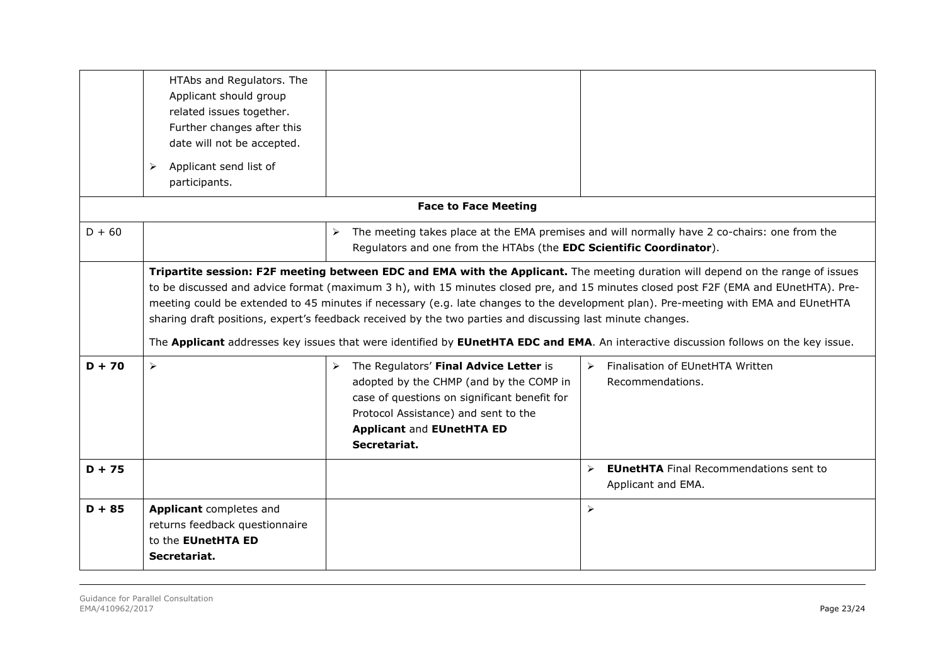|          | HTAbs and Regulators. The<br>Applicant should group<br>related issues together.<br>Further changes after this<br>date will not be accepted.<br>Applicant send list of<br>➤<br>participants. |                                                                                                                                                                                                                                 |                                                                                                                                                                                                                                                                                                                                                                                                                                                                                                                                                        |
|----------|---------------------------------------------------------------------------------------------------------------------------------------------------------------------------------------------|---------------------------------------------------------------------------------------------------------------------------------------------------------------------------------------------------------------------------------|--------------------------------------------------------------------------------------------------------------------------------------------------------------------------------------------------------------------------------------------------------------------------------------------------------------------------------------------------------------------------------------------------------------------------------------------------------------------------------------------------------------------------------------------------------|
|          |                                                                                                                                                                                             | <b>Face to Face Meeting</b>                                                                                                                                                                                                     |                                                                                                                                                                                                                                                                                                                                                                                                                                                                                                                                                        |
| $D + 60$ |                                                                                                                                                                                             | ➤<br>Regulators and one from the HTAbs (the EDC Scientific Coordinator).                                                                                                                                                        | The meeting takes place at the EMA premises and will normally have 2 co-chairs: one from the                                                                                                                                                                                                                                                                                                                                                                                                                                                           |
|          |                                                                                                                                                                                             | sharing draft positions, expert's feedback received by the two parties and discussing last minute changes.                                                                                                                      | Tripartite session: F2F meeting between EDC and EMA with the Applicant. The meeting duration will depend on the range of issues<br>to be discussed and advice format (maximum 3 h), with 15 minutes closed pre, and 15 minutes closed post F2F (EMA and EUnetHTA). Pre-<br>meeting could be extended to 45 minutes if necessary (e.g. late changes to the development plan). Pre-meeting with EMA and EUnetHTA<br>The Applicant addresses key issues that were identified by EUnetHTA EDC and EMA. An interactive discussion follows on the key issue. |
| $D + 70$ | $\blacktriangleright$                                                                                                                                                                       | > The Regulators' Final Advice Letter is<br>adopted by the CHMP (and by the COMP in<br>case of questions on significant benefit for<br>Protocol Assistance) and sent to the<br><b>Applicant and EUnetHTA ED</b><br>Secretariat. | Finalisation of EUnetHTA Written<br>$\triangleright$<br>Recommendations.                                                                                                                                                                                                                                                                                                                                                                                                                                                                               |
| $D + 75$ |                                                                                                                                                                                             |                                                                                                                                                                                                                                 | <b>EUnetHTA</b> Final Recommendations sent to<br>$\triangleright$<br>Applicant and EMA.                                                                                                                                                                                                                                                                                                                                                                                                                                                                |
| $D + 85$ | Applicant completes and<br>returns feedback questionnaire<br>to the EUnetHTA ED<br>Secretariat.                                                                                             |                                                                                                                                                                                                                                 | $\blacktriangleright$                                                                                                                                                                                                                                                                                                                                                                                                                                                                                                                                  |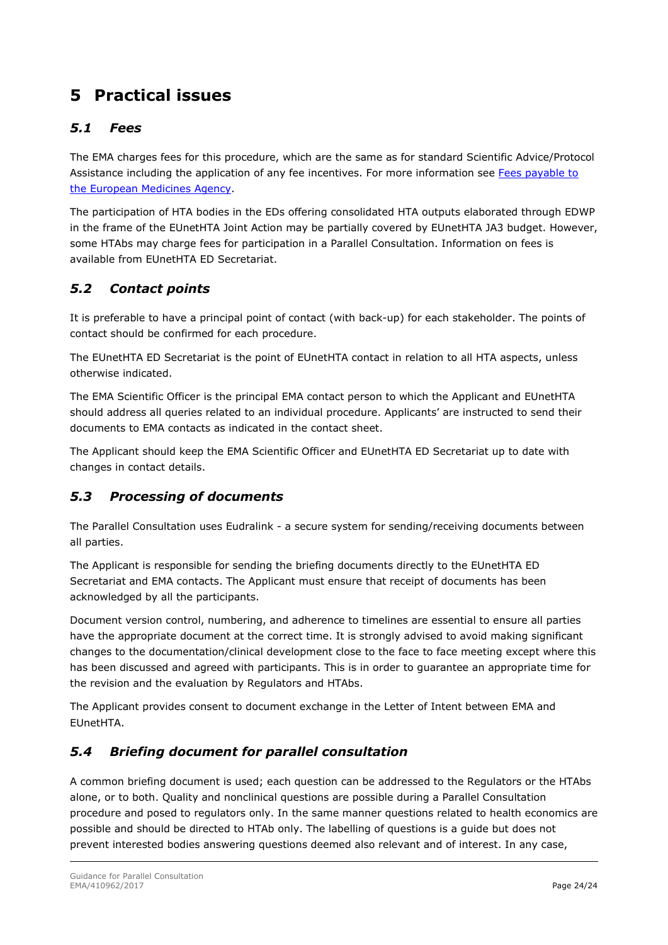## <span id="page-22-0"></span>**5 Practical issues**

### <span id="page-22-1"></span>*5.1 Fees*

The EMA charges fees for this procedure, which are the same as for standard Scientific Advice/Protocol Assistance including the application of any fee incentives. For more information see [Fees payable to](http://www.ema.europa.eu/ema/index.jsp?curl=pages/regulation/document_listing/document_listing_000327.jsp&mid=WC0b01ac0580024596)  [the European Medicines Agency.](http://www.ema.europa.eu/ema/index.jsp?curl=pages/regulation/document_listing/document_listing_000327.jsp&mid=WC0b01ac0580024596)

The participation of HTA bodies in the EDs offering consolidated HTA outputs elaborated through EDWP in the frame of the EUnetHTA Joint Action may be partially covered by EUnetHTA JA3 budget. However, some HTAbs may charge fees for participation in a Parallel Consultation. Information on fees is available from EUnetHTA ED Secretariat.

### <span id="page-22-2"></span>*5.2 Contact points*

It is preferable to have a principal point of contact (with back-up) for each stakeholder. The points of contact should be confirmed for each procedure.

The EUnetHTA ED Secretariat is the point of EUnetHTA contact in relation to all HTA aspects, unless otherwise indicated.

The EMA Scientific Officer is the principal EMA contact person to which the Applicant and EUnetHTA should address all queries related to an individual procedure. Applicants' are instructed to send their documents to EMA contacts as indicated in the contact sheet.

The Applicant should keep the EMA Scientific Officer and EUnetHTA ED Secretariat up to date with changes in contact details.

### <span id="page-22-3"></span>*5.3 Processing of documents*

The Parallel Consultation uses Eudralink - a secure system for sending/receiving documents between all parties.

The Applicant is responsible for sending the briefing documents directly to the EUnetHTA ED Secretariat and EMA contacts. The Applicant must ensure that receipt of documents has been acknowledged by all the participants.

Document version control, numbering, and adherence to timelines are essential to ensure all parties have the appropriate document at the correct time. It is strongly advised to avoid making significant changes to the documentation/clinical development close to the face to face meeting except where this has been discussed and agreed with participants. This is in order to guarantee an appropriate time for the revision and the evaluation by Regulators and HTAbs.

The Applicant provides consent to document exchange in the Letter of Intent between EMA and EUnetHTA.

### <span id="page-22-4"></span>*5.4 Briefing document for parallel consultation*

A common briefing document is used; each question can be addressed to the Regulators or the HTAbs alone, or to both. Quality and nonclinical questions are possible during a Parallel Consultation procedure and posed to regulators only. In the same manner questions related to health economics are possible and should be directed to HTAb only. The labelling of questions is a guide but does not prevent interested bodies answering questions deemed also relevant and of interest. In any case,